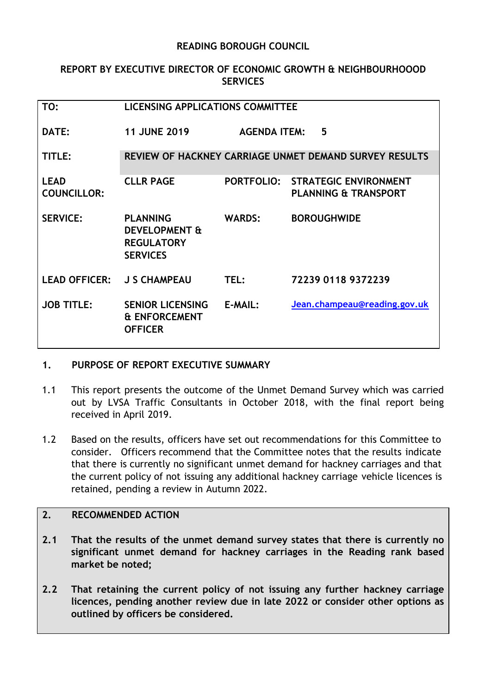### **READING BOROUGH COUNCIL**

### **REPORT BY EXECUTIVE DIRECTOR OF ECONOMIC GROWTH & NEIGHBOURHOOOD SERVICES**

| TO:                               | <b>LICENSING APPLICATIONS COMMITTEE</b>                                             |                     |                                                                 |
|-----------------------------------|-------------------------------------------------------------------------------------|---------------------|-----------------------------------------------------------------|
| DATE:                             | <b>11 JUNE 2019</b>                                                                 | <b>AGENDA ITEM:</b> | 5                                                               |
| TITLE:                            |                                                                                     |                     | REVIEW OF HACKNEY CARRIAGE UNMET DEMAND SURVEY RESULTS          |
| <b>LEAD</b><br><b>COUNCILLOR:</b> | <b>CLLR PAGE</b>                                                                    | <b>PORTFOLIO:</b>   | <b>STRATEGIC ENVIRONMENT</b><br><b>PLANNING &amp; TRANSPORT</b> |
| <b>SERVICE:</b>                   | <b>PLANNING</b><br><b>DEVELOPMENT &amp;</b><br><b>REGULATORY</b><br><b>SERVICES</b> | <b>WARDS:</b>       | <b>BOROUGHWIDE</b>                                              |
| <b>LEAD OFFICER:</b>              | <b>J S CHAMPEAU</b>                                                                 | TEL:                | 72239 0118 9372239                                              |
| <b>JOB TITLE:</b>                 | <b>SENIOR LICENSING</b><br><b>&amp; ENFORCEMENT</b><br><b>OFFICER</b>               | E-MAIL:             | Jean.champeau@reading.gov.uk                                    |

# **1. PURPOSE OF REPORT EXECUTIVE SUMMARY**

- 1.1 This report presents the outcome of the Unmet Demand Survey which was carried out by LVSA Traffic Consultants in October 2018, with the final report being received in April 2019.
- 1.2 Based on the results, officers have set out recommendations for this Committee to consider. Officers recommend that the Committee notes that the results indicate that there is currently no significant unmet demand for hackney carriages and that the current policy of not issuing any additional hackney carriage vehicle licences is retained, pending a review in Autumn 2022.

# **2. RECOMMENDED ACTION**

- **2.1 That the results of the unmet demand survey states that there is currently no significant unmet demand for hackney carriages in the Reading rank based market be noted;**
- **2.2 That retaining the current policy of not issuing any further hackney carriage licences, pending another review due in late 2022 or consider other options as outlined by officers be considered.**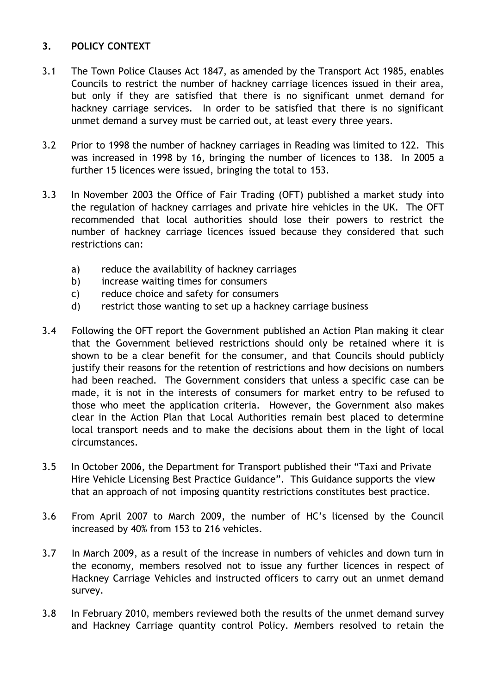# **3. POLICY CONTEXT**

- 3.1 The Town Police Clauses Act 1847, as amended by the Transport Act 1985, enables Councils to restrict the number of hackney carriage licences issued in their area, but only if they are satisfied that there is no significant unmet demand for hackney carriage services. In order to be satisfied that there is no significant unmet demand a survey must be carried out, at least every three years.
- 3.2 Prior to 1998 the number of hackney carriages in Reading was limited to 122. This was increased in 1998 by 16, bringing the number of licences to 138. In 2005 a further 15 licences were issued, bringing the total to 153.
- 3.3 In November 2003 the Office of Fair Trading (OFT) published a market study into the regulation of hackney carriages and private hire vehicles in the UK. The OFT recommended that local authorities should lose their powers to restrict the number of hackney carriage licences issued because they considered that such restrictions can:
	- a) reduce the availability of hackney carriages
	- b) increase waiting times for consumers
	- c) reduce choice and safety for consumers
	- d) restrict those wanting to set up a hackney carriage business
- 3.4 Following the OFT report the Government published an Action Plan making it clear that the Government believed restrictions should only be retained where it is shown to be a clear benefit for the consumer, and that Councils should publicly justify their reasons for the retention of restrictions and how decisions on numbers had been reached. The Government considers that unless a specific case can be made, it is not in the interests of consumers for market entry to be refused to those who meet the application criteria. However, the Government also makes clear in the Action Plan that Local Authorities remain best placed to determine local transport needs and to make the decisions about them in the light of local circumstances.
- 3.5 In October 2006, the Department for Transport published their "Taxi and Private Hire Vehicle Licensing Best Practice Guidance". This Guidance supports the view that an approach of not imposing quantity restrictions constitutes best practice.
- 3.6 From April 2007 to March 2009, the number of HC's licensed by the Council increased by 40% from 153 to 216 vehicles.
- 3.7 In March 2009, as a result of the increase in numbers of vehicles and down turn in the economy, members resolved not to issue any further licences in respect of Hackney Carriage Vehicles and instructed officers to carry out an unmet demand survey.
- 3.8 In February 2010, members reviewed both the results of the unmet demand survey and Hackney Carriage quantity control Policy. Members resolved to retain the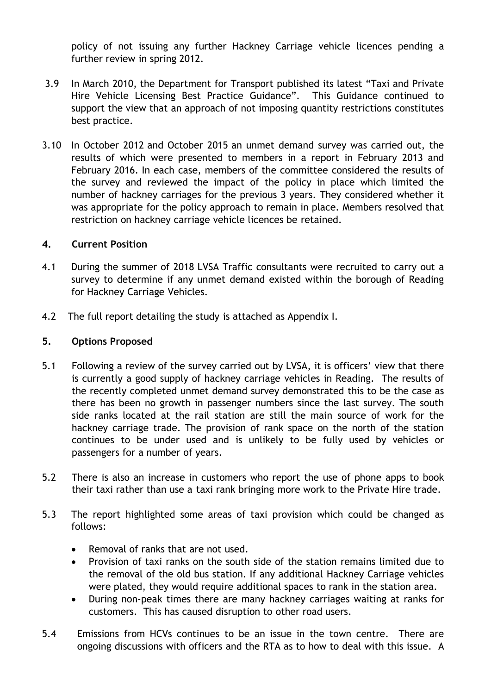policy of not issuing any further Hackney Carriage vehicle licences pending a further review in spring 2012.

- 3.9 In March 2010, the Department for Transport published its latest "Taxi and Private Hire Vehicle Licensing Best Practice Guidance". This Guidance continued to support the view that an approach of not imposing quantity restrictions constitutes best practice.
- 3.10 In October 2012 and October 2015 an unmet demand survey was carried out, the results of which were presented to members in a report in February 2013 and February 2016. In each case, members of the committee considered the results of the survey and reviewed the impact of the policy in place which limited the number of hackney carriages for the previous 3 years. They considered whether it was appropriate for the policy approach to remain in place. Members resolved that restriction on hackney carriage vehicle licences be retained.

### **4. Current Position**

- 4.1 During the summer of 2018 LVSA Traffic consultants were recruited to carry out a survey to determine if any unmet demand existed within the borough of Reading for Hackney Carriage Vehicles.
- 4.2 The full report detailing the study is attached as Appendix I.

#### **5. Options Proposed**

- 5.1 Following a review of the survey carried out by LVSA, it is officers' view that there is currently a good supply of hackney carriage vehicles in Reading. The results of the recently completed unmet demand survey demonstrated this to be the case as there has been no growth in passenger numbers since the last survey. The south side ranks located at the rail station are still the main source of work for the hackney carriage trade. The provision of rank space on the north of the station continues to be under used and is unlikely to be fully used by vehicles or passengers for a number of years.
- 5.2 There is also an increase in customers who report the use of phone apps to book their taxi rather than use a taxi rank bringing more work to the Private Hire trade.
- 5.3 The report highlighted some areas of taxi provision which could be changed as follows:
	- Removal of ranks that are not used.
	- Provision of taxi ranks on the south side of the station remains limited due to the removal of the old bus station. If any additional Hackney Carriage vehicles were plated, they would require additional spaces to rank in the station area.
	- During non-peak times there are many hackney carriages waiting at ranks for customers. This has caused disruption to other road users.
- 5.4 Emissions from HCVs continues to be an issue in the town centre. There are ongoing discussions with officers and the RTA as to how to deal with this issue. A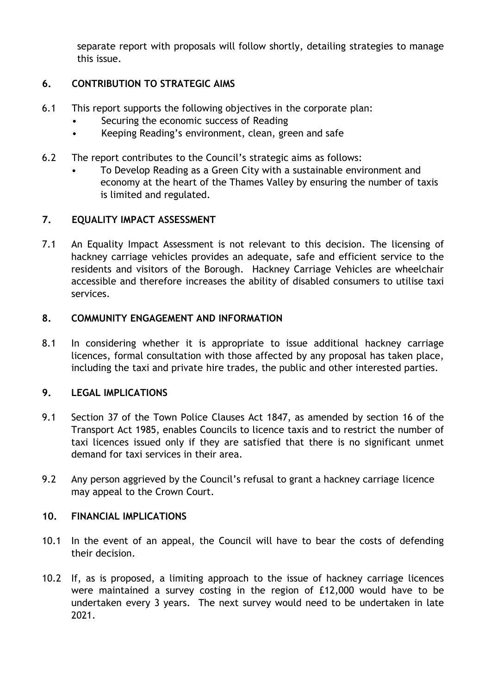separate report with proposals will follow shortly, detailing strategies to manage this issue.

# **6. CONTRIBUTION TO STRATEGIC AIMS**

- 6.1 This report supports the following objectives in the corporate plan:
	- Securing the economic success of Reading
	- Keeping Reading's environment, clean, green and safe
- 6.2 The report contributes to the Council's strategic aims as follows:
	- To Develop Reading as a Green City with a sustainable environment and economy at the heart of the Thames Valley by ensuring the number of taxis is limited and regulated.

# **7. EQUALITY IMPACT ASSESSMENT**

7.1 An Equality Impact Assessment is not relevant to this decision. The licensing of hackney carriage vehicles provides an adequate, safe and efficient service to the residents and visitors of the Borough. Hackney Carriage Vehicles are wheelchair accessible and therefore increases the ability of disabled consumers to utilise taxi services.

### **8. COMMUNITY ENGAGEMENT AND INFORMATION**

8.1 In considering whether it is appropriate to issue additional hackney carriage licences, formal consultation with those affected by any proposal has taken place, including the taxi and private hire trades, the public and other interested parties.

# **9. LEGAL IMPLICATIONS**

- 9.1 Section 37 of the Town Police Clauses Act 1847, as amended by section 16 of the Transport Act 1985, enables Councils to licence taxis and to restrict the number of taxi licences issued only if they are satisfied that there is no significant unmet demand for taxi services in their area.
- 9.2 Any person aggrieved by the Council's refusal to grant a hackney carriage licence may appeal to the Crown Court.

# **10. FINANCIAL IMPLICATIONS**

- 10.1 In the event of an appeal, the Council will have to bear the costs of defending their decision.
- 10.2 If, as is proposed, a limiting approach to the issue of hackney carriage licences were maintained a survey costing in the region of £12,000 would have to be undertaken every 3 years. The next survey would need to be undertaken in late 2021.